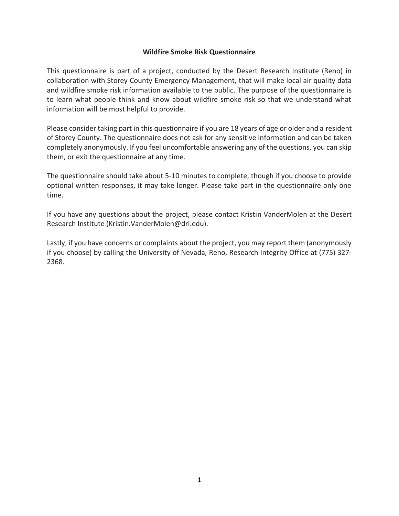## **Wildfire Smoke Risk Questionnaire**

This questionnaire is part of a project, conducted by the Desert Research Institute (Reno) in collaboration with Storey County Emergency Management, that will make local air quality data and wildfire smoke risk information available to the public. The purpose of the questionnaire is to learn what people think and know about wildfire smoke risk so that we understand what information will be most helpful to provide.

Please consider taking part in this questionnaire if you are 18 years of age or older and a resident of Storey County. The questionnaire does not ask for any sensitive information and can be taken completely anonymously. If you feel uncomfortable answering any of the questions, you can skip them, or exit the questionnaire at any time.

The questionnaire should take about 5-10 minutes to complete, though if you choose to provide optional written responses, it may take longer. Please take part in the questionnaire only one time.

If you have any questions about the project, please contact Kristin VanderMolen at the Desert Research Institute (Kristin.VanderMolen@dri.edu).

Lastly, if you have concerns or complaints about the project, you may report them (anonymously if you choose) by calling the University of Nevada, Reno, Research Integrity Office at (775) 327- 2368.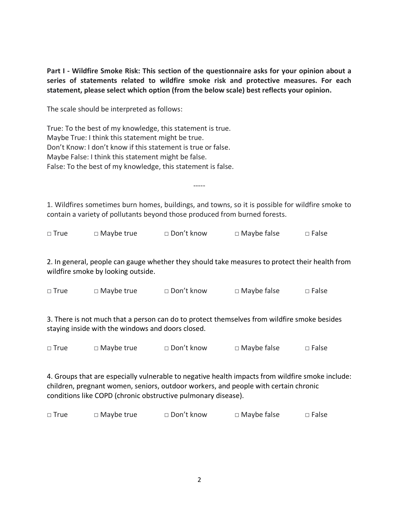**Part I - Wildfire Smoke Risk: This section of the questionnaire asks for your opinion about a series of statements related to wildfire smoke risk and protective measures. For each statement, please select which option (from the below scale) best reflects your opinion.**

The scale should be interpreted as follows:

True: To the best of my knowledge, this statement is true. Maybe True: I think this statement might be true. Don't Know: I don't know if this statement is true or false. Maybe False: I think this statement might be false. False: To the best of my knowledge, this statement is false.

1. Wildfires sometimes burn homes, buildings, and towns, so it is possible for wildfire smoke to contain a variety of pollutants beyond those produced from burned forests.

-----

| $\Box$ Maybe false<br>□ Don't know<br>$\square$ True<br>$\Box$ Maybe true | $\Box$ False |
|---------------------------------------------------------------------------|--------------|
|---------------------------------------------------------------------------|--------------|

2. In general, people can gauge whether they should take measures to protect their health from wildfire smoke by looking outside.

| $\square$ True | $\Box$ Maybe true | □ Don't know | $\Box$ Maybe false | $\square$ False |
|----------------|-------------------|--------------|--------------------|-----------------|
|                |                   |              |                    |                 |

3. There is not much that a person can do to protect themselves from wildfire smoke besides staying inside with the windows and doors closed.

□ True □ Maybe true □ Don't know □ Maybe false □ False

4. Groups that are especially vulnerable to negative health impacts from wildfire smoke include: children, pregnant women, seniors, outdoor workers, and people with certain chronic conditions like COPD (chronic obstructive pulmonary disease).

| □ Don't know<br>$\Box$ Maybe true<br>$\square$ True | $\Box$ Maybe false<br>$\square$ False |
|-----------------------------------------------------|---------------------------------------|
|-----------------------------------------------------|---------------------------------------|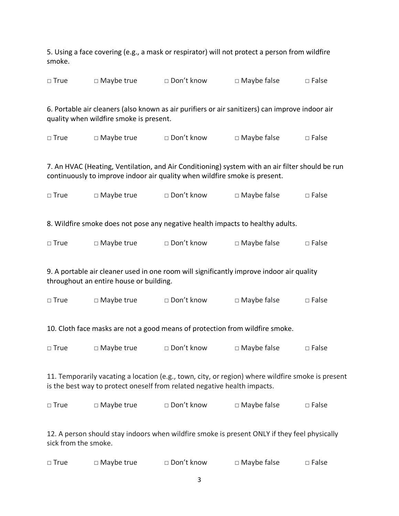5. Using a face covering (e.g., a mask or respirator) will not protect a person from wildfire smoke.

|  | $\Box$ True | $\Box$ Maybe true | □ Don't know | $\Box$ Maybe false | $\Box$ False |
|--|-------------|-------------------|--------------|--------------------|--------------|
|--|-------------|-------------------|--------------|--------------------|--------------|

6. Portable air cleaners (also known as air purifiers or air sanitizers) can improve indoor air quality when wildfire smoke is present.

□ True □ Maybe true □ Don't know □ Maybe false □ False

7. An HVAC (Heating, Ventilation, and Air Conditioning) system with an air filter should be run continuously to improve indoor air quality when wildfire smoke is present.

| $\square$ True | $\Box$ Maybe true | □ Don't know | $\Box$ Maybe false | $\Box$ False |
|----------------|-------------------|--------------|--------------------|--------------|
|----------------|-------------------|--------------|--------------------|--------------|

8. Wildfire smoke does not pose any negative health impacts to healthy adults.

| $\square$ True | $\Box$ Maybe true | □ Don't know | $\Box$ Maybe false | $\Box$ False |
|----------------|-------------------|--------------|--------------------|--------------|
|----------------|-------------------|--------------|--------------------|--------------|

9. A portable air cleaner used in one room will significantly improve indoor air quality throughout an entire house or building.

| $\square$ True | $\Box$ Maybe true | □ Don't know | $\Box$ Maybe false | $\square$ False |
|----------------|-------------------|--------------|--------------------|-----------------|
|----------------|-------------------|--------------|--------------------|-----------------|

10. Cloth face masks are not a good means of protection from wildfire smoke.

| $\Box$ True<br>$\Box$ Maybe true | $\square$ Don't know | $\Box$ Maybe false | $\square$ False |
|----------------------------------|----------------------|--------------------|-----------------|
|----------------------------------|----------------------|--------------------|-----------------|

11. Temporarily vacating a location (e.g., town, city, or region) where wildfire smoke is present is the best way to protect oneself from related negative health impacts.

| $\square$ True | $\Box$ Maybe true | □ Don't know | $\Box$ Maybe false | $\Box$ False |
|----------------|-------------------|--------------|--------------------|--------------|
|----------------|-------------------|--------------|--------------------|--------------|

12. A person should stay indoors when wildfire smoke is present ONLY if they feel physically sick from the smoke.

| $\Box$ True | $\Box$ Maybe true | □ Don't know | $\Box$ Maybe false | $\Box$ False |
|-------------|-------------------|--------------|--------------------|--------------|
|-------------|-------------------|--------------|--------------------|--------------|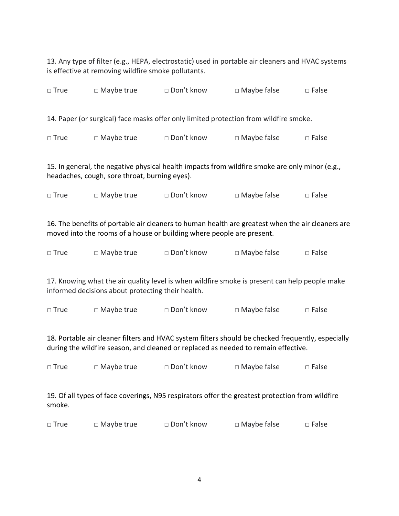13. Any type of filter (e.g., HEPA, electrostatic) used in portable air cleaners and HVAC systems is effective at removing wildfire smoke pollutants.

| $\Box$ True                                                                                                                                     | $\Box$ Maybe true | □ Don't know | $\square$ Maybe false                                                                 | $\Box$ False |
|-------------------------------------------------------------------------------------------------------------------------------------------------|-------------------|--------------|---------------------------------------------------------------------------------------|--------------|
|                                                                                                                                                 |                   |              | 14. Paper (or surgical) face masks offer only limited protection from wildfire smoke. |              |
| $\Box$ True                                                                                                                                     | $\Box$ Maybe true | □ Don't know | $\Box$ Maybe false                                                                    | $\Box$ False |
| 15. In general, the negative physical health impacts from wildfire smoke are only minor (e.g.,<br>headaches, cough, sore throat, burning eyes). |                   |              |                                                                                       |              |

□ True □ Maybe true □ Don't know □ Maybe false □ False

16. The benefits of portable air cleaners to human health are greatest when the air cleaners are moved into the rooms of a house or building where people are present.

| $\square$ True | $\Box$ Maybe true | □ Don't know | $\Box$ Maybe false | $\Box$ False |
|----------------|-------------------|--------------|--------------------|--------------|
|----------------|-------------------|--------------|--------------------|--------------|

17. Knowing what the air quality level is when wildfire smoke is present can help people make informed decisions about protecting their health.

□ True □ Maybe true □ Don't know □ Maybe false □ False

18. Portable air cleaner filters and HVAC system filters should be checked frequently, especially during the wildfire season, and cleaned or replaced as needed to remain effective.

| $\square$ True | $\Box$ Maybe true | □ Don't know | $\Box$ Maybe false | $\Box$ False |
|----------------|-------------------|--------------|--------------------|--------------|
|----------------|-------------------|--------------|--------------------|--------------|

19. Of all types of face coverings, N95 respirators offer the greatest protection from wildfire smoke.

| $\square$ True | $\Box$ Maybe true | □ Don't know | $\Box$ Maybe false | $\Box$ False |
|----------------|-------------------|--------------|--------------------|--------------|
|----------------|-------------------|--------------|--------------------|--------------|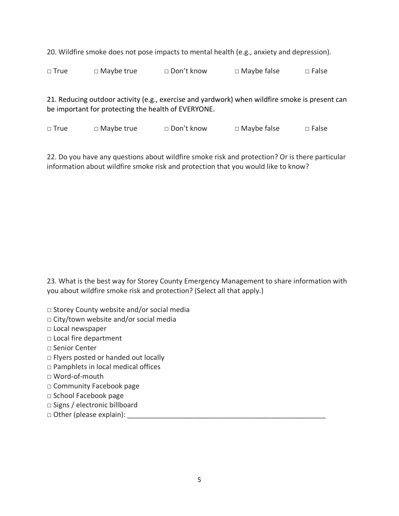20. Wildfire smoke does not pose impacts to mental health (e.g., anxiety and depression).

□ True □ Maybe true □ Don't know □ Maybe false □ False

21. Reducing outdoor activity (e.g., exercise and yardwork) when wildfire smoke is present can be important for protecting the health of EVERYONE.

□ True □ Maybe true □ Don't know □ Maybe false □ False

22. Do you have any questions about wildfire smoke risk and protection? Or is there particular information about wildfire smoke risk and protection that you would like to know?

23. What is the best way for Storey County Emergency Management to share information with you about wildfire smoke risk and protection? (Select all that apply.)

**□** Storey County website and/or social media

**□** City/town website and/or social media

□ Local newspaper

□ Local fire department

- □ Senior Center
- □ Flyers posted or handed out locally
- □ Pamphlets in local medical offices
- □ Word-of-mouth
- □ Community Facebook page
- □ School Facebook page
- □ Signs / electronic billboard
- □ Other (please explain): \_\_\_\_\_\_\_\_\_\_\_\_\_\_\_\_\_\_\_\_\_\_\_\_\_\_\_\_\_\_\_\_\_\_\_\_\_\_\_\_\_\_\_\_\_\_\_\_\_\_\_